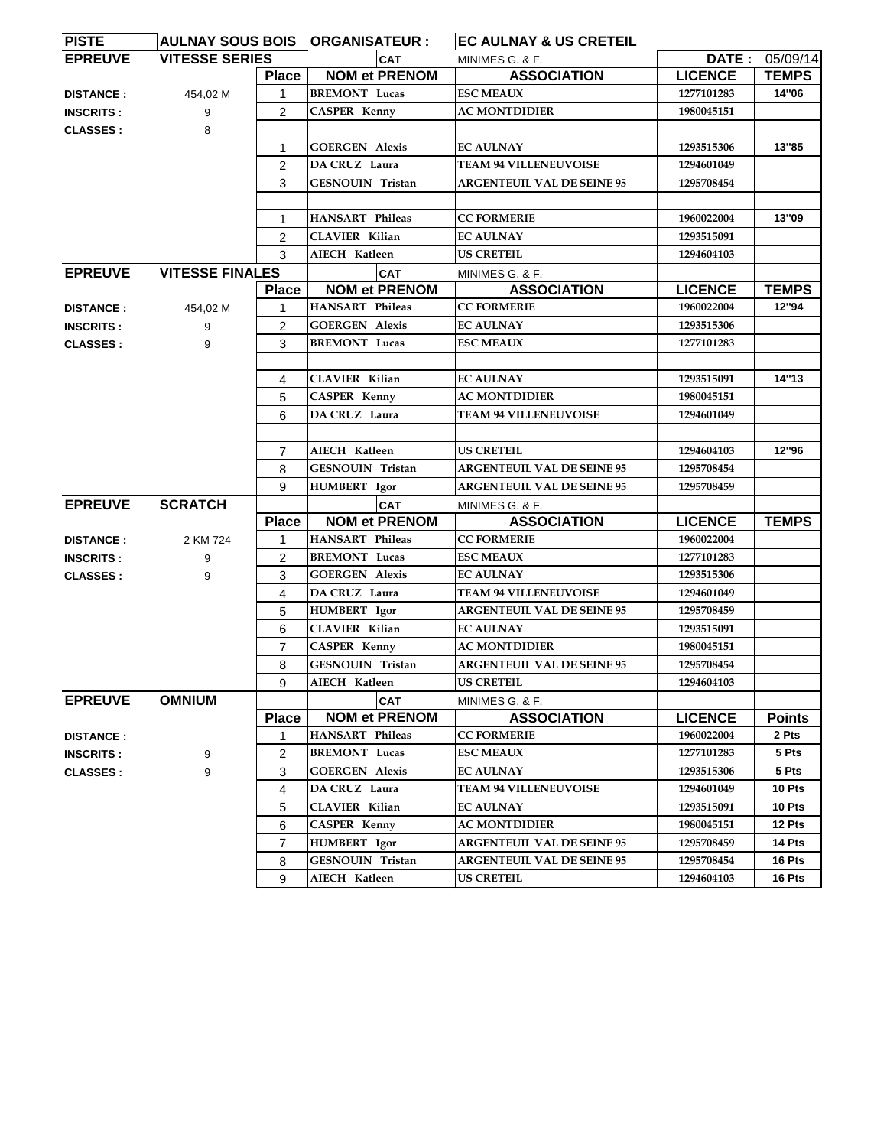| <b>PISTE</b>     |                        |                | AULNAY SOUS BOIS ORGANISATEUR : | <b>EC AULNAY &amp; US CRETEIL</b> |                |                |
|------------------|------------------------|----------------|---------------------------------|-----------------------------------|----------------|----------------|
| <b>EPREUVE</b>   | <b>VITESSE SERIES</b>  |                | <b>CAT</b>                      | MINIMES G. & F.                   |                | DATE: 05/09/14 |
|                  |                        | Place          | <b>NOM et PRENOM</b>            | <b>ASSOCIATION</b>                | <b>LICENCE</b> | <b>TEMPS</b>   |
| <b>DISTANCE:</b> | 454,02 M               |                | <b>BREMONT</b> Lucas            | <b>ESC MEAUX</b>                  | 1277101283     | 14"06          |
| <b>INSCRITS:</b> | 9                      | 2              | <b>CASPER Kenny</b>             | <b>AC MONTDIDIER</b>              | 1980045151     |                |
| <b>CLASSES:</b>  | 8                      |                |                                 |                                   |                |                |
|                  |                        | 1              | <b>GOERGEN Alexis</b>           | <b>EC AULNAY</b>                  | 1293515306     | 13"85          |
|                  |                        | $\overline{2}$ | DA CRUZ Laura                   | <b>TEAM 94 VILLENEUVOISE</b>      | 1294601049     |                |
|                  |                        | 3              | <b>GESNOUIN Tristan</b>         | <b>ARGENTEUIL VAL DE SEINE 95</b> | 1295708454     |                |
|                  |                        |                |                                 |                                   |                |                |
|                  |                        | 1              | <b>HANSART</b> Phileas          | <b>CC FORMERIE</b>                | 1960022004     | 13"09          |
|                  |                        | $\overline{2}$ | <b>CLAVIER Kilian</b>           | <b>EC AULNAY</b>                  | 1293515091     |                |
|                  |                        | 3              | AIECH Katleen                   | <b>US CRETEIL</b>                 | 1294604103     |                |
| <b>EPREUVE</b>   | <b>VITESSE FINALES</b> |                | <b>CAT</b>                      | MINIMES G. & F.                   |                |                |
|                  |                        | <b>Place</b>   | <b>NOM et PRENOM</b>            | <b>ASSOCIATION</b>                | <b>LICENCE</b> | <b>TEMPS</b>   |
| <b>DISTANCE:</b> | 454,02 M               | 1              | <b>HANSART</b> Phileas          | <b>CC FORMERIE</b>                | 1960022004     | 12"94          |
| <b>INSCRITS:</b> | 9                      | 2              | <b>GOERGEN Alexis</b>           | <b>EC AULNAY</b>                  | 1293515306     |                |
| <b>CLASSES:</b>  | 9                      | 3              | <b>BREMONT</b> Lucas            | <b>ESC MEAUX</b>                  | 1277101283     |                |
|                  |                        |                |                                 |                                   |                |                |
|                  |                        | 4              | <b>CLAVIER Kilian</b>           | <b>EC AULNAY</b>                  | 1293515091     | 14"13          |
|                  |                        | 5              | <b>CASPER Kenny</b>             | <b>AC MONTDIDIER</b>              | 1980045151     |                |
|                  |                        | 6              | DA CRUZ Laura                   | <b>TEAM 94 VILLENEUVOISE</b>      | 1294601049     |                |
|                  |                        |                |                                 |                                   |                |                |
|                  |                        | $\overline{7}$ | AIECH Katleen                   | <b>US CRETEIL</b>                 | 1294604103     | 12"96          |
|                  |                        | 8              | <b>GESNOUIN Tristan</b>         | <b>ARGENTEUIL VAL DE SEINE 95</b> | 1295708454     |                |
|                  |                        | 9              | HUMBERT Igor                    | <b>ARGENTEUIL VAL DE SEINE 95</b> | 1295708459     |                |
| <b>EPREUVE</b>   | <b>SCRATCH</b>         |                | <b>CAT</b>                      | MINIMES G. & F.                   |                |                |
|                  |                        | <b>Place</b>   | <b>NOM et PRENOM</b>            | <b>ASSOCIATION</b>                | <b>LICENCE</b> | <b>TEMPS</b>   |
| <b>DISTANCE:</b> | 2 KM 724               | 1              | <b>HANSART Phileas</b>          | <b>CC FORMERIE</b>                | 1960022004     |                |
| <b>INSCRITS:</b> | 9                      | $\overline{2}$ | <b>BREMONT</b> Lucas            | <b>ESC MEAUX</b>                  | 1277101283     |                |
| <b>CLASSES:</b>  | 9                      | 3              | <b>GOERGEN Alexis</b>           | <b>EC AULNAY</b>                  | 1293515306     |                |
|                  |                        | 4              | DA CRUZ Laura                   | <b>TEAM 94 VILLENEUVOISE</b>      | 1294601049     |                |
|                  |                        | 5              | <b>HUMBERT</b> Igor             | <b>ARGENTEUIL VAL DE SEINE 95</b> | 1295708459     |                |
|                  |                        | 6              | <b>CLAVIER Kilian</b>           | <b>EC AULNAY</b>                  | 1293515091     |                |
|                  |                        | $\overline{7}$ | <b>CASPER Kenny</b>             | <b>AC MONTDIDIER</b>              | 1980045151     |                |
|                  |                        | 8              | GESNOUIN Tristan                | <b>ARGENTEUIL VAL DE SEINE 95</b> | 1295708454     |                |
|                  |                        | 9              | AIECH Katleen                   | <b>US CRETEIL</b>                 | 1294604103     |                |
| <b>EPREUVE</b>   | <b>OMNIUM</b>          |                | <b>CAT</b>                      | MINIMES G. & F.                   |                |                |
|                  |                        | <b>Place</b>   | <b>NOM et PRENOM</b>            | <b>ASSOCIATION</b>                | <b>LICENCE</b> | <b>Points</b>  |
| <b>DISTANCE:</b> |                        | 1              | HANSART Phileas                 | <b>CC FORMERIE</b>                | 1960022004     | 2 Pts          |
| <b>INSCRITS:</b> |                        | $\overline{2}$ | <b>BREMONT</b> Lucas            | <b>ESC MEAUX</b>                  | 1277101283     | 5 Pts          |
| <b>CLASSES:</b>  | 9<br>9                 | 3              | <b>GOERGEN Alexis</b>           | <b>EC AULNAY</b>                  | 1293515306     | 5 Pts          |
|                  |                        | 4              | DA CRUZ Laura                   | <b>TEAM 94 VILLENEUVOISE</b>      | 1294601049     | 10 Pts         |
|                  |                        | 5              | <b>CLAVIER Kilian</b>           | <b>EC AULNAY</b>                  | 1293515091     | 10 Pts         |
|                  |                        | 6              | <b>CASPER Kenny</b>             | <b>AC MONTDIDIER</b>              |                | 12 Pts         |
|                  |                        |                |                                 | <b>ARGENTEUIL VAL DE SEINE 95</b> | 1980045151     | 14 Pts         |
|                  |                        | $\overline{7}$ | HUMBERT Igor                    |                                   | 1295708459     |                |
|                  |                        | 8              | GESNOUIN Tristan                | <b>ARGENTEUIL VAL DE SEINE 95</b> | 1295708454     | 16 Pts         |
|                  |                        | 9              | AIECH Katleen                   | <b>US CRETEIL</b>                 | 1294604103     | 16 Pts         |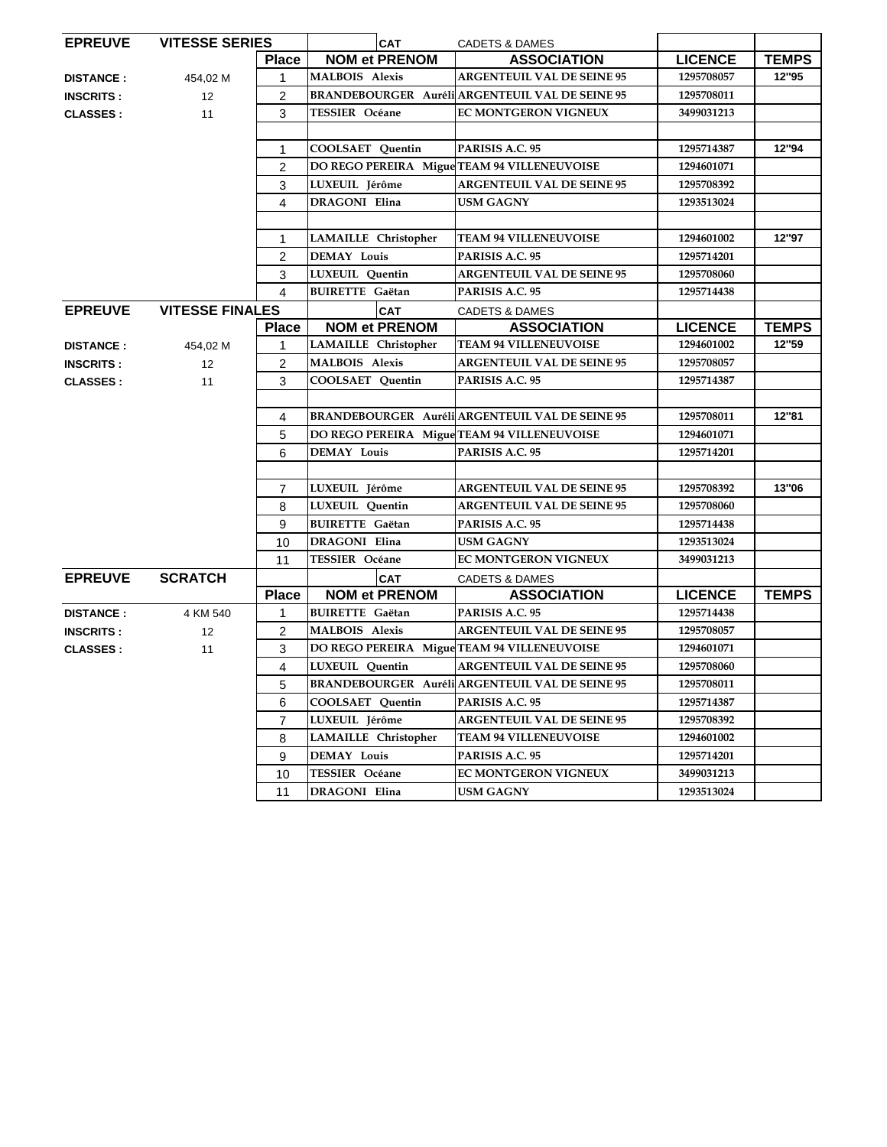| <b>EPREUVE</b>   | <b>VITESSE SERIES</b>  |                | <b>CAT</b>                                  | <b>CADETS &amp; DAMES</b>                              |                |              |
|------------------|------------------------|----------------|---------------------------------------------|--------------------------------------------------------|----------------|--------------|
|                  |                        | <b>Place</b>   | <b>NOM et PRENOM</b>                        | <b>ASSOCIATION</b>                                     | <b>LICENCE</b> | <b>TEMPS</b> |
| <b>DISTANCE:</b> | 454,02 M               | 1              | <b>MALBOIS Alexis</b>                       | <b>ARGENTEUIL VAL DE SEINE 95</b>                      | 1295708057     | 12"95        |
| <b>INSCRITS:</b> | $12 \overline{ }$      | $\overline{2}$ |                                             | <b>BRANDEBOURGER Auréli ARGENTEUIL VAL DE SEINE 95</b> | 1295708011     |              |
| <b>CLASSES:</b>  | 11                     | 3              | <b>TESSIER</b> Océane                       | <b>EC MONTGERON VIGNEUX</b>                            | 3499031213     |              |
|                  |                        |                |                                             |                                                        |                |              |
|                  |                        | 1              | COOLSAET Quentin                            | PARISIS A.C. 95                                        | 1295714387     | 12"94        |
|                  |                        | $\overline{2}$ |                                             | DO REGO PEREIRA Migue TEAM 94 VILLENEUVOISE            | 1294601071     |              |
|                  |                        | 3              | LUXEUIL Jérôme                              | <b>ARGENTEUIL VAL DE SEINE 95</b>                      | 1295708392     |              |
|                  |                        | 4              | <b>DRAGONI Elina</b>                        | USM GAGNY                                              | 1293513024     |              |
|                  |                        |                |                                             |                                                        |                |              |
|                  |                        | 1              | <b>LAMAILLE</b> Christopher                 | <b>TEAM 94 VILLENEUVOISE</b>                           | 1294601002     | 12"97        |
|                  |                        | $\overline{2}$ | <b>DEMAY Louis</b>                          | PARISIS A.C. 95                                        | 1295714201     |              |
|                  |                        | 3              | LUXEUIL Quentin                             | <b>ARGENTEUIL VAL DE SEINE 95</b>                      | 1295708060     |              |
|                  |                        | 4              | <b>BUIRETTE Gaëtan</b>                      | PARISIS A.C. 95                                        | 1295714438     |              |
| <b>EPREUVE</b>   | <b>VITESSE FINALES</b> |                | <b>CAT</b>                                  | <b>CADETS &amp; DAMES</b>                              |                |              |
|                  |                        | <b>Place</b>   | <b>NOM et PRENOM</b>                        | <b>ASSOCIATION</b>                                     | <b>LICENCE</b> | <b>TEMPS</b> |
| <b>DISTANCE:</b> | 454,02 M               | 1              | <b>LAMAILLE</b> Christopher                 | <b>TEAM 94 VILLENEUVOISE</b>                           | 1294601002     | 12"59        |
| <b>INSCRITS:</b> | 12                     | $\overline{2}$ | MALBOIS Alexis                              | <b>ARGENTEUIL VAL DE SEINE 95</b>                      | 1295708057     |              |
| <b>CLASSES:</b>  | 11                     | 3              | COOLSAET Quentin                            | PARISIS A.C. 95                                        | 1295714387     |              |
|                  |                        |                |                                             |                                                        |                |              |
|                  |                        | 4              |                                             | <b>BRANDEBOURGER Auréli ARGENTEUIL VAL DE SEINE 95</b> | 1295708011     | 12"81        |
|                  |                        | 5              |                                             | DO REGO PEREIRA Migue TEAM 94 VILLENEUVOISE            | 1294601071     |              |
|                  |                        | 6              | <b>DEMAY Louis</b>                          | PARISIS A.C. 95                                        | 1295714201     |              |
|                  |                        |                |                                             |                                                        |                |              |
|                  |                        | $\overline{7}$ | LUXEUIL Jérôme                              | <b>ARGENTEUIL VAL DE SEINE 95</b>                      | 1295708392     | 13"06        |
|                  |                        | 8              | LUXEUIL Quentin                             | <b>ARGENTEUIL VAL DE SEINE 95</b>                      | 1295708060     |              |
|                  |                        | 9              | <b>BUIRETTE Gaëtan</b>                      | PARISIS A.C. 95                                        | 1295714438     |              |
|                  |                        | 10             | DRAGONI Elina                               | <b>USM GAGNY</b>                                       | 1293513024     |              |
|                  |                        | 11             | <b>TESSIER Océane</b>                       | <b>EC MONTGERON VIGNEUX</b>                            | 3499031213     |              |
| <b>EPREUVE</b>   | <b>SCRATCH</b>         |                | <b>CAT</b>                                  | <b>CADETS &amp; DAMES</b>                              |                |              |
|                  |                        | <b>Place</b>   | <b>NOM et PRENOM</b>                        | <b>ASSOCIATION</b>                                     | <b>LICENCE</b> | <b>TEMPS</b> |
| <b>DISTANCE:</b> | 4 KM 540               | 1              | <b>BUIRETTE Gaëtan</b>                      | PARISIS A.C. 95                                        | 1295714438     |              |
| <b>INSCRITS:</b> | 12                     | $\overline{2}$ | <b>MALBOIS Alexis</b>                       | <b>ARGENTEUIL VAL DE SEINE 95</b>                      | 1295708057     |              |
| <b>CLASSES:</b>  | 11                     | 3              | DO REGO PEREIRA Migue TEAM 94 VILLENEUVOISE |                                                        | 1294601071     |              |
|                  |                        | 4              | LUXEUIL Ouentin                             | <b>ARGENTEUIL VAL DE SEINE 95</b>                      | 1295708060     |              |
|                  |                        | 5              |                                             | <b>BRANDEBOURGER Auréli ARGENTEUIL VAL DE SEINE 95</b> | 1295708011     |              |
|                  |                        | 6              | <b>COOLSAET Ouentin</b>                     | PARISIS A.C. 95                                        | 1295714387     |              |
|                  |                        | $\overline{7}$ | LUXEUIL Jérôme                              | <b>ARGENTEUIL VAL DE SEINE 95</b>                      | 1295708392     |              |
|                  |                        | 8              | LAMAILLE Christopher                        | <b>TEAM 94 VILLENEUVOISE</b>                           | 1294601002     |              |
|                  |                        | 9              | <b>DEMAY Louis</b>                          | PARISIS A.C. 95                                        | 1295714201     |              |
|                  |                        | 10             | TESSIER Océane                              | <b>EC MONTGERON VIGNEUX</b>                            | 3499031213     |              |
|                  |                        | 11             | <b>DRAGONI</b> Elina                        | <b>USM GAGNY</b>                                       | 1293513024     |              |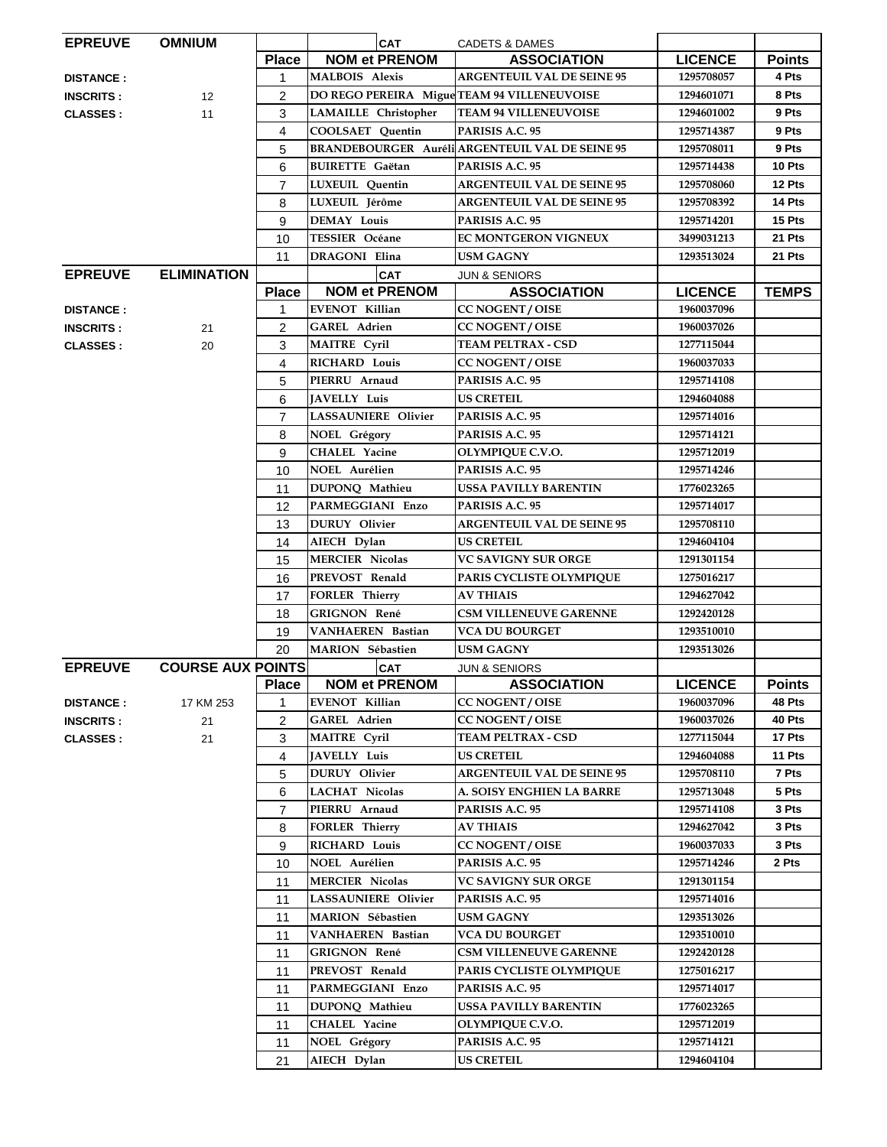| <b>EPREUVE</b>   | <b>OMNIUM</b>            |                | <b>CAT</b>                                  | <b>CADETS &amp; DAMES</b>                              |                |               |
|------------------|--------------------------|----------------|---------------------------------------------|--------------------------------------------------------|----------------|---------------|
|                  |                          | <b>Place</b>   | <b>NOM et PRENOM</b>                        | <b>ASSOCIATION</b>                                     | <b>LICENCE</b> | <b>Points</b> |
| <b>DISTANCE:</b> |                          | 1              | <b>MALBOIS Alexis</b>                       | <b>ARGENTEUIL VAL DE SEINE 95</b>                      | 1295708057     | 4 Pts         |
| <b>INSCRITS:</b> | 12                       | 2              | DO REGO PEREIRA Migue TEAM 94 VILLENEUVOISE |                                                        | 1294601071     | 8 Pts         |
| <b>CLASSES:</b>  | 11                       | 3              | <b>LAMAILLE</b> Christopher                 | <b>TEAM 94 VILLENEUVOISE</b>                           | 1294601002     | 9 Pts         |
|                  |                          | 4              | <b>COOLSAET</b> Quentin                     | PARISIS A.C. 95                                        | 1295714387     | 9 Pts         |
|                  |                          | 5              |                                             | <b>BRANDEBOURGER Auréli ARGENTEUIL VAL DE SEINE 95</b> | 1295708011     | 9 Pts         |
|                  |                          | 6              | <b>BUIRETTE Gaëtan</b>                      | PARISIS A.C. 95                                        | 1295714438     | 10 Pts        |
|                  |                          | $\overline{7}$ | <b>LUXEUIL</b> Ouentin                      | <b>ARGENTEUIL VAL DE SEINE 95</b>                      | 1295708060     | 12 Pts        |
|                  |                          | 8              | LUXEUIL Jérôme                              | <b>ARGENTEUIL VAL DE SEINE 95</b>                      | 1295708392     | 14 Pts        |
|                  |                          | 9              | <b>DEMAY Louis</b>                          | PARISIS A.C. 95                                        | 1295714201     | 15 Pts        |
|                  |                          | 10             | <b>TESSIER Océane</b>                       | EC MONTGERON VIGNEUX                                   | 3499031213     | 21 Pts        |
|                  |                          | 11             | <b>DRAGONI</b> Elina                        | <b>USM GAGNY</b>                                       | 1293513024     | 21 Pts        |
| <b>EPREUVE</b>   | <b>ELIMINATION</b>       |                | <b>CAT</b>                                  | <b>JUN &amp; SENIORS</b>                               |                |               |
|                  |                          | <b>Place</b>   | <b>NOM et PRENOM</b>                        | <b>ASSOCIATION</b>                                     | <b>LICENCE</b> | <b>TEMPS</b>  |
| <b>DISTANCE:</b> |                          | 1              | <b>EVENOT Killian</b>                       | <b>CC NOGENT / OISE</b>                                | 1960037096     |               |
| <b>INSCRITS:</b> | 21                       | $\overline{2}$ | <b>GAREL Adrien</b>                         | <b>CC NOGENT / OISE</b>                                | 1960037026     |               |
| <b>CLASSES:</b>  | 20                       | 3              | <b>MAITRE</b> Cyril                         | TEAM PELTRAX - CSD                                     | 1277115044     |               |
|                  |                          | 4              | <b>RICHARD Louis</b>                        | <b>CC NOGENT / OISE</b>                                | 1960037033     |               |
|                  |                          | 5              | PIERRU Arnaud                               | PARISIS A.C. 95                                        | 1295714108     |               |
|                  |                          | 6              | <b>JAVELLY Luis</b>                         | <b>US CRETEIL</b>                                      | 1294604088     |               |
|                  |                          |                | <b>LASSAUNIERE Olivier</b>                  |                                                        |                |               |
|                  |                          | $\overline{7}$ |                                             | PARISIS A.C. 95                                        | 1295714016     |               |
|                  |                          | 8              | <b>NOEL Grégory</b>                         | PARISIS A.C. 95                                        | 1295714121     |               |
|                  |                          | 9              | CHALEL Yacine                               | OLYMPIQUE C.V.O.                                       | 1295712019     |               |
|                  |                          | 10             | NOEL Aurélien                               | PARISIS A.C. 95                                        | 1295714246     |               |
|                  |                          | 11             | DUPONQ Mathieu                              | <b>USSA PAVILLY BARENTIN</b>                           | 1776023265     |               |
|                  |                          | 12             | PARMEGGIANI Enzo                            | PARISIS A.C. 95                                        | 1295714017     |               |
|                  |                          | 13             | <b>DURUY</b> Olivier                        | <b>ARGENTEUIL VAL DE SEINE 95</b>                      | 1295708110     |               |
|                  |                          | 14             | AIECH Dylan                                 | US CRETEIL                                             | 1294604104     |               |
|                  |                          | 15             | <b>MERCIER Nicolas</b>                      | VC SAVIGNY SUR ORGE                                    | 1291301154     |               |
|                  |                          | 16             | PREVOST Renald                              | PARIS CYCLISTE OLYMPIQUE                               | 1275016217     |               |
|                  |                          | 17             | <b>FORLER Thierry</b>                       | <b>AV THIAIS</b>                                       | 1294627042     |               |
|                  |                          | 18             | <b>GRIGNON René</b>                         | <b>CSM VILLENEUVE GARENNE</b>                          | 1292420128     |               |
|                  |                          | 19             | VANHAEREN Bastian                           | <b>VCA DU BOURGET</b>                                  | 1293510010     |               |
|                  |                          | 20             | MARION Sébastien                            | <b>USM GAGNY</b>                                       | 1293513026     |               |
| <b>EPREUVE</b>   | <b>COURSE AUX POINTS</b> |                | <b>CAT</b>                                  | <b>JUN &amp; SENIORS</b>                               |                |               |
|                  |                          | <b>Place</b>   | <b>NOM et PRENOM</b>                        | <b>ASSOCIATION</b>                                     | <b>LICENCE</b> | <b>Points</b> |
| <b>DISTANCE:</b> | 17 KM 253                | 1              | <b>EVENOT Killian</b>                       | <b>CC NOGENT / OISE</b>                                | 1960037096     | 48 Pts        |
| <b>INSCRITS:</b> | 21                       | $\overline{2}$ | <b>GAREL Adrien</b>                         | <b>CC NOGENT / OISE</b>                                | 1960037026     | 40 Pts        |
| <b>CLASSES:</b>  | 21                       | 3              | <b>MAITRE Cyril</b>                         | <b>TEAM PELTRAX - CSD</b>                              | 1277115044     | 17 Pts        |
|                  |                          | 4              | <b>JAVELLY Luis</b>                         | US CRETEIL                                             | 1294604088     | 11 Pts        |
|                  |                          | 5              | DURUY Olivier                               | <b>ARGENTEUIL VAL DE SEINE 95</b>                      | 1295708110     | 7 Pts         |
|                  |                          | 6              | <b>LACHAT Nicolas</b>                       | A. SOISY ENGHIEN LA BARRE                              | 1295713048     | 5 Pts         |
|                  |                          | $\overline{7}$ | PIERRU Arnaud                               | PARISIS A.C. 95                                        | 1295714108     | 3 Pts         |
|                  |                          | 8              | <b>FORLER Thierry</b>                       | <b>AV THIAIS</b>                                       | 1294627042     | 3 Pts         |
|                  |                          | 9              | <b>RICHARD Louis</b>                        | <b>CC NOGENT / OISE</b>                                | 1960037033     | 3 Pts         |
|                  |                          | 10             | NOEL Aurélien                               | PARISIS A.C. 95                                        | 1295714246     | 2 Pts         |
|                  |                          | 11             | <b>MERCIER Nicolas</b>                      | <b>VC SAVIGNY SUR ORGE</b>                             | 1291301154     |               |
|                  |                          | 11             | LASSAUNIERE Olivier                         | PARISIS A.C. 95                                        | 1295714016     |               |
|                  |                          | 11             | <b>MARION Sébastien</b>                     | <b>USM GAGNY</b>                                       | 1293513026     |               |
|                  |                          | 11             | <b>VANHAEREN Bastian</b>                    | <b>VCA DU BOURGET</b>                                  | 1293510010     |               |
|                  |                          | 11             | <b>GRIGNON René</b>                         | CSM VILLENEUVE GARENNE                                 | 1292420128     |               |
|                  |                          | 11             | PREVOST Renald                              | PARIS CYCLISTE OLYMPIQUE                               | 1275016217     |               |
|                  |                          |                | PARMEGGIANI Enzo                            | PARISIS A.C. 95                                        | 1295714017     |               |
|                  |                          | 11             |                                             |                                                        |                |               |
|                  |                          | 11             | DUPONQ Mathieu                              | <b>USSA PAVILLY BARENTIN</b>                           | 1776023265     |               |
|                  |                          | 11             | <b>CHALEL Yacine</b>                        | OLYMPIQUE C.V.O.                                       | 1295712019     |               |
|                  |                          | 11             | <b>NOEL Grégory</b>                         | PARISIS A.C. 95                                        | 1295714121     |               |
|                  |                          | 21             | AIECH Dylan                                 | <b>US CRETEIL</b>                                      | 1294604104     |               |